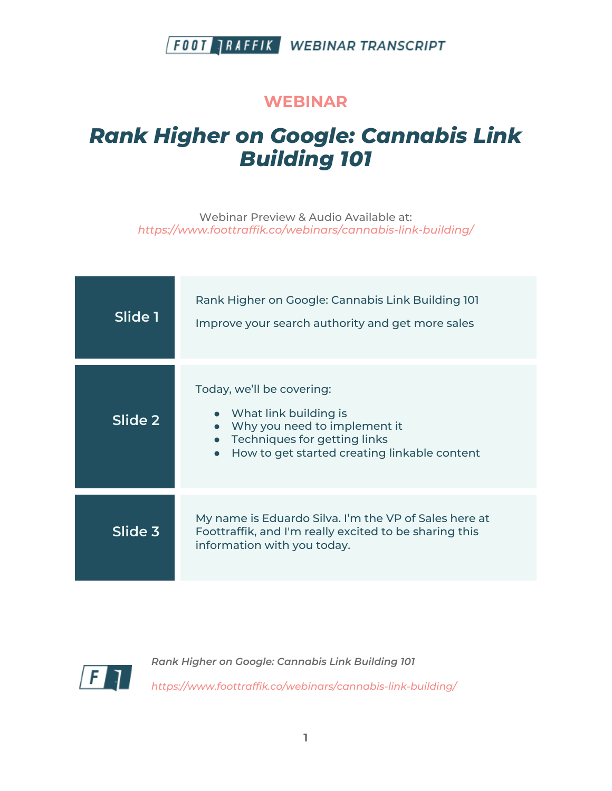#### **WEBINAR**

# *Rank Higher on Google: Cannabis Link Building 101*

Webinar Preview & Audio Available at: *https://www.foottraffik.co/webinars/cannabis-link-building/*

| Slide 1 | Rank Higher on Google: Cannabis Link Building 101<br>Improve your search authority and get more sales                                                                           |
|---------|---------------------------------------------------------------------------------------------------------------------------------------------------------------------------------|
| Slide 2 | Today, we'll be covering:<br>What link building is<br>Why you need to implement it<br>Techniques for getting links<br>How to get started creating linkable content<br>$\bullet$ |
| Slide 3 | My name is Eduardo Silva. I'm the VP of Sales here at<br>Foottraffik, and I'm really excited to be sharing this<br>information with you today.                                  |

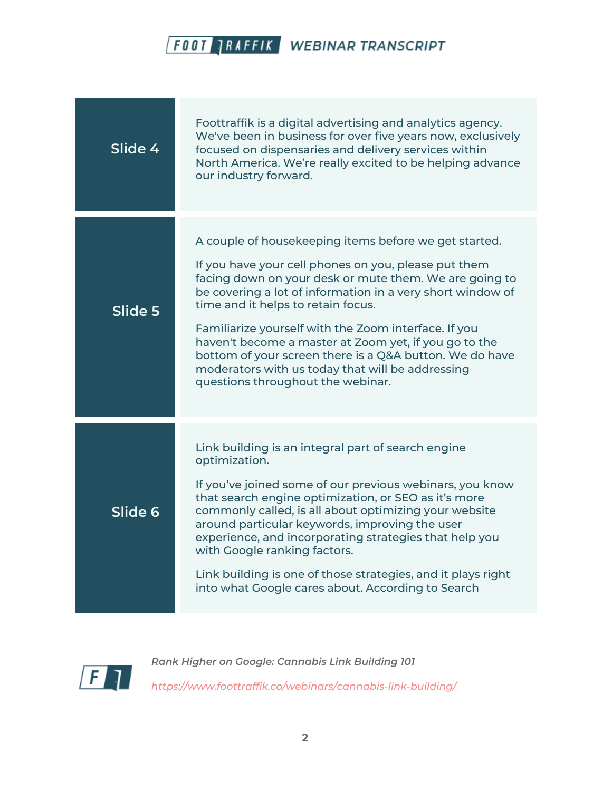

| Slide 4 | Foottraffik is a digital advertising and analytics agency.<br>We've been in business for over five years now, exclusively<br>focused on dispensaries and delivery services within<br>North America. We're really excited to be helping advance<br>our industry forward.                                                                                                                                                                                                                                                                          |
|---------|--------------------------------------------------------------------------------------------------------------------------------------------------------------------------------------------------------------------------------------------------------------------------------------------------------------------------------------------------------------------------------------------------------------------------------------------------------------------------------------------------------------------------------------------------|
| Slide 5 | A couple of housekeeping items before we get started.<br>If you have your cell phones on you, please put them<br>facing down on your desk or mute them. We are going to<br>be covering a lot of information in a very short window of<br>time and it helps to retain focus.<br>Familiarize yourself with the Zoom interface. If you<br>haven't become a master at Zoom yet, if you go to the<br>bottom of your screen there is a Q&A button. We do have<br>moderators with us today that will be addressing<br>questions throughout the webinar. |
| Slide 6 | Link building is an integral part of search engine<br>optimization.<br>If you've joined some of our previous webinars, you know<br>that search engine optimization, or SEO as it's more<br>commonly called, is all about optimizing your website<br>around particular keywords, improving the user<br>experience, and incorporating strategies that help you<br>with Google ranking factors.<br>Link building is one of those strategies, and it plays right<br>into what Google cares about. According to Search                                |

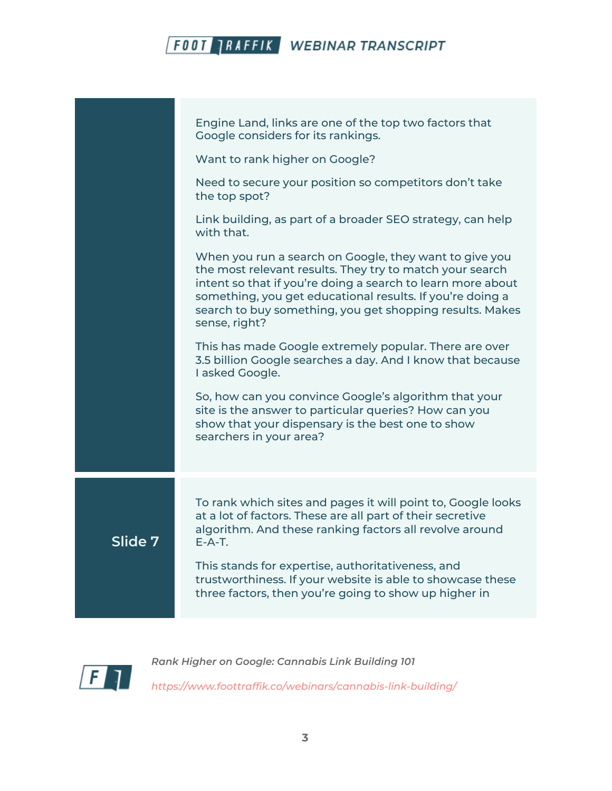|         | Engine Land, links are one of the top two factors that<br>Google considers for its rankings.                                                                                                                                                                                                                                |
|---------|-----------------------------------------------------------------------------------------------------------------------------------------------------------------------------------------------------------------------------------------------------------------------------------------------------------------------------|
|         | Want to rank higher on Google?                                                                                                                                                                                                                                                                                              |
|         | Need to secure your position so competitors don't take<br>the top spot?                                                                                                                                                                                                                                                     |
|         | Link building, as part of a broader SEO strategy, can help<br>with that.                                                                                                                                                                                                                                                    |
|         | When you run a search on Google, they want to give you<br>the most relevant results. They try to match your search<br>intent so that if you're doing a search to learn more about<br>something, you get educational results. If you're doing a<br>search to buy something, you get shopping results. Makes<br>sense, right? |
|         | This has made Google extremely popular. There are over<br>3.5 billion Google searches a day. And I know that because<br>I asked Google.                                                                                                                                                                                     |
|         | So, how can you convince Google's algorithm that your<br>site is the answer to particular queries? How can you<br>show that your dispensary is the best one to show<br>searchers in your area?                                                                                                                              |
|         | To rank which sites and pages it will point to, Google looks                                                                                                                                                                                                                                                                |
| Slide 7 | at a lot of factors. These are all part of their secretive<br>algorithm. And these ranking factors all revolve around<br>$F - A - T$ .                                                                                                                                                                                      |
|         | This stands for expertise, authoritativeness, and<br>trustworthiness. If your website is able to showcase these<br>three factors, then you're going to show up higher in                                                                                                                                                    |
|         |                                                                                                                                                                                                                                                                                                                             |

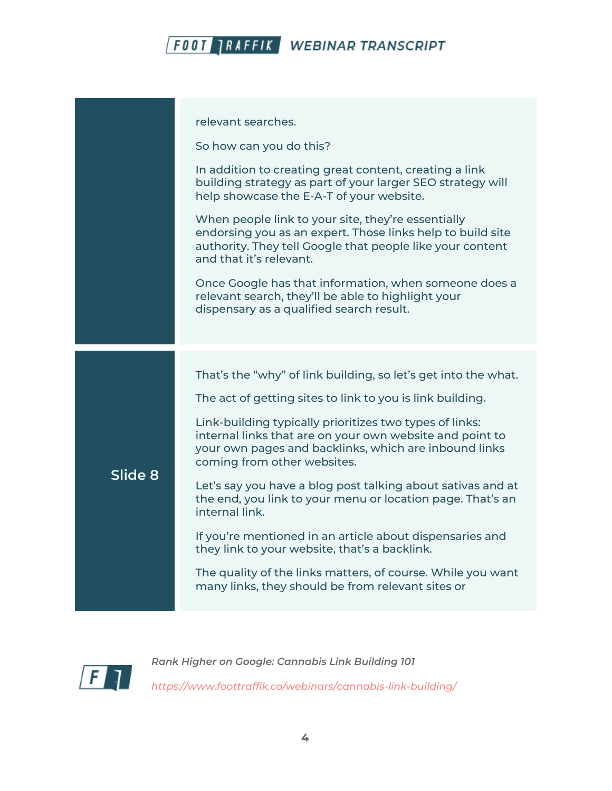| relevant searches.<br>So how can you do this?<br>In addition to creating great content, creating a link<br>building strategy as part of your larger SEO strategy will<br>help showcase the E-A-T of your website.<br>When people link to your site, they're essentially<br>endorsing you as an expert. Those links help to build site<br>authority. They tell Google that people like your content<br>and that it's relevant.<br>Once Google has that information, when someone does a<br>relevant search, they'll be able to highlight your<br>dispensary as a qualified search result.<br>That's the "why" of link building, so let's get into the what.<br>The act of getting sites to link to you is link building.<br>Link-building typically prioritizes two types of links:<br>internal links that are on your own website and point to<br>your own pages and backlinks, which are inbound links<br>coming from other websites.<br>Slide 8<br>Let's say you have a blog post talking about sativas and at<br>the end, you link to your menu or location page. That's an<br>internal link.<br>If you're mentioned in an article about dispensaries and<br>they link to your website, that's a backlink.<br>The quality of the links matters, of course. While you want<br>many links, they should be from relevant sites or |  |  |
|-----------------------------------------------------------------------------------------------------------------------------------------------------------------------------------------------------------------------------------------------------------------------------------------------------------------------------------------------------------------------------------------------------------------------------------------------------------------------------------------------------------------------------------------------------------------------------------------------------------------------------------------------------------------------------------------------------------------------------------------------------------------------------------------------------------------------------------------------------------------------------------------------------------------------------------------------------------------------------------------------------------------------------------------------------------------------------------------------------------------------------------------------------------------------------------------------------------------------------------------------------------------------------------------------------------------------------------|--|--|
|                                                                                                                                                                                                                                                                                                                                                                                                                                                                                                                                                                                                                                                                                                                                                                                                                                                                                                                                                                                                                                                                                                                                                                                                                                                                                                                                   |  |  |
|                                                                                                                                                                                                                                                                                                                                                                                                                                                                                                                                                                                                                                                                                                                                                                                                                                                                                                                                                                                                                                                                                                                                                                                                                                                                                                                                   |  |  |
|                                                                                                                                                                                                                                                                                                                                                                                                                                                                                                                                                                                                                                                                                                                                                                                                                                                                                                                                                                                                                                                                                                                                                                                                                                                                                                                                   |  |  |
|                                                                                                                                                                                                                                                                                                                                                                                                                                                                                                                                                                                                                                                                                                                                                                                                                                                                                                                                                                                                                                                                                                                                                                                                                                                                                                                                   |  |  |
|                                                                                                                                                                                                                                                                                                                                                                                                                                                                                                                                                                                                                                                                                                                                                                                                                                                                                                                                                                                                                                                                                                                                                                                                                                                                                                                                   |  |  |
|                                                                                                                                                                                                                                                                                                                                                                                                                                                                                                                                                                                                                                                                                                                                                                                                                                                                                                                                                                                                                                                                                                                                                                                                                                                                                                                                   |  |  |
|                                                                                                                                                                                                                                                                                                                                                                                                                                                                                                                                                                                                                                                                                                                                                                                                                                                                                                                                                                                                                                                                                                                                                                                                                                                                                                                                   |  |  |
|                                                                                                                                                                                                                                                                                                                                                                                                                                                                                                                                                                                                                                                                                                                                                                                                                                                                                                                                                                                                                                                                                                                                                                                                                                                                                                                                   |  |  |
|                                                                                                                                                                                                                                                                                                                                                                                                                                                                                                                                                                                                                                                                                                                                                                                                                                                                                                                                                                                                                                                                                                                                                                                                                                                                                                                                   |  |  |
|                                                                                                                                                                                                                                                                                                                                                                                                                                                                                                                                                                                                                                                                                                                                                                                                                                                                                                                                                                                                                                                                                                                                                                                                                                                                                                                                   |  |  |
|                                                                                                                                                                                                                                                                                                                                                                                                                                                                                                                                                                                                                                                                                                                                                                                                                                                                                                                                                                                                                                                                                                                                                                                                                                                                                                                                   |  |  |

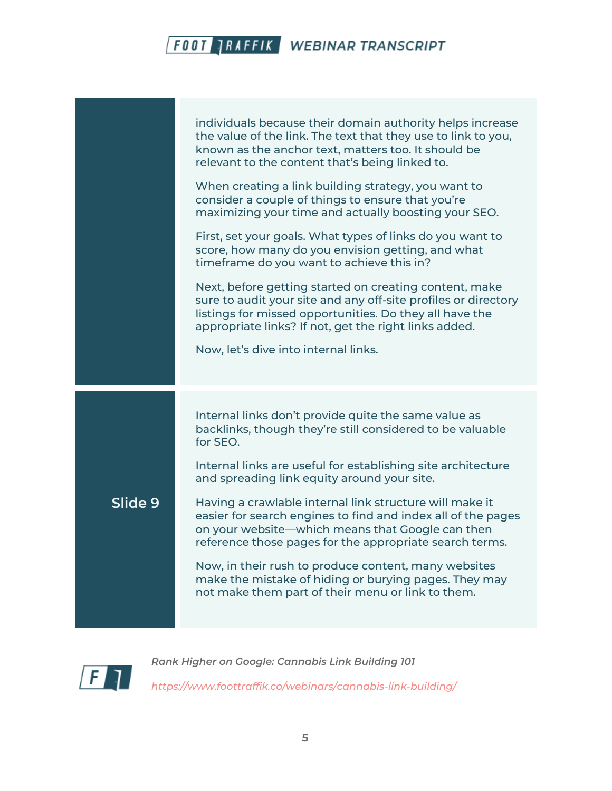|         | individuals because their domain authority helps increase<br>the value of the link. The text that they use to link to you,<br>known as the anchor text, matters too. It should be<br>relevant to the content that's being linked to.<br>When creating a link building strategy, you want to<br>consider a couple of things to ensure that you're<br>maximizing your time and actually boosting your SEO.<br>First, set your goals. What types of links do you want to<br>score, how many do you envision getting, and what<br>timeframe do you want to achieve this in?<br>Next, before getting started on creating content, make<br>sure to audit your site and any off-site profiles or directory<br>listings for missed opportunities. Do they all have the<br>appropriate links? If not, get the right links added.<br>Now, let's dive into internal links. |
|---------|-----------------------------------------------------------------------------------------------------------------------------------------------------------------------------------------------------------------------------------------------------------------------------------------------------------------------------------------------------------------------------------------------------------------------------------------------------------------------------------------------------------------------------------------------------------------------------------------------------------------------------------------------------------------------------------------------------------------------------------------------------------------------------------------------------------------------------------------------------------------|
| Slide 9 | Internal links don't provide quite the same value as<br>backlinks, though they're still considered to be valuable<br>for SEO.<br>Internal links are useful for establishing site architecture<br>and spreading link equity around your site.<br>Having a crawlable internal link structure will make it<br>easier for search engines to find and index all of the pages<br>on your website—which means that Google can then<br>reference those pages for the appropriate search terms.<br>Now, in their rush to produce content, many websites<br>make the mistake of hiding or burying pages. They may<br>not make them part of their menu or link to them.                                                                                                                                                                                                    |

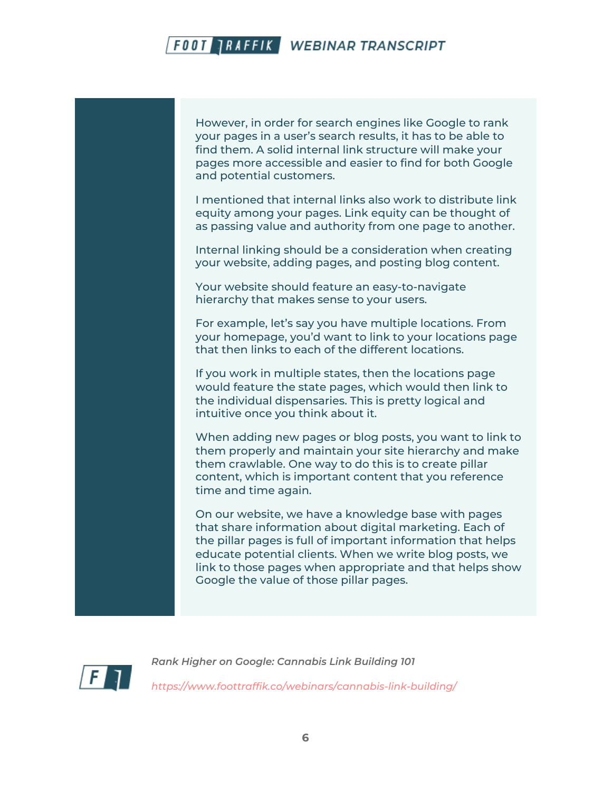However, in order for search engines like Google to rank your pages in a user's search results, it has to be able to find them. A solid internal link structure will make your pages more accessible and easier to find for both Google and potential customers.

I mentioned that internal links also work to distribute link equity among your pages. Link equity can be thought of as passing value and authority from one page to another.

Internal linking should be a consideration when creating your website, adding pages, and posting blog content.

Your website should feature an easy-to-navigate hierarchy that makes sense to your users.

For example, let's say you have multiple locations. From your homepage, you'd want to link to your locations page that then links to each of the different locations.

If you work in multiple states, then the locations page would feature the state pages, which would then link to the individual dispensaries. This is pretty logical and intuitive once you think about it.

When adding new pages or blog posts, you want to link to them properly and maintain your site hierarchy and make them crawlable. One way to do this is to create pillar content, which is important content that you reference time and time again.

On our website, we have a knowledge base with pages that share information about digital marketing. Each of the pillar pages is full of important information that helps educate potential clients. When we write blog posts, we link to those pages when appropriate and that helps show Google the value of those pillar pages.

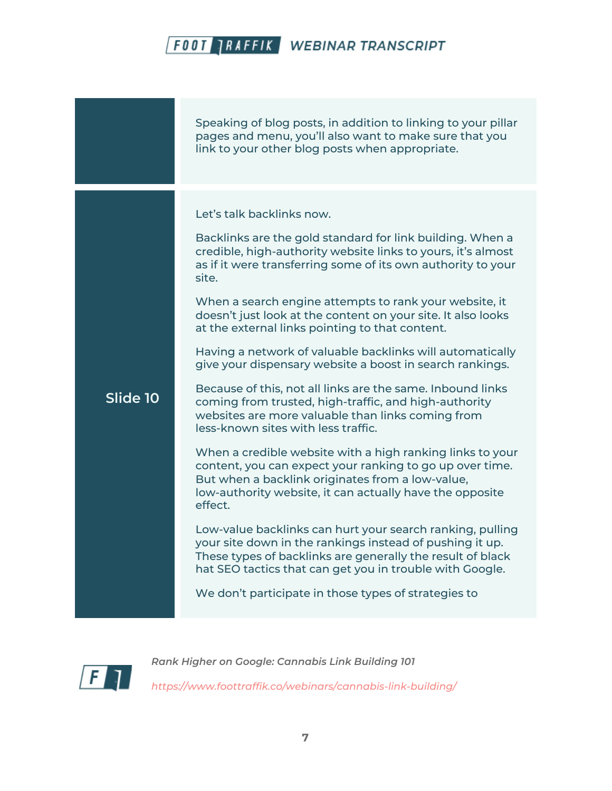|          | Speaking of blog posts, in addition to linking to your pillar<br>pages and menu, you'll also want to make sure that you<br>link to your other blog posts when appropriate.                                                                                                                                                                                                                                                                                                                                                                                                                                                                                                                                                                                                                                                                                                                                                                                                                                                                                                                                                                                                                                                                                                                                              |
|----------|-------------------------------------------------------------------------------------------------------------------------------------------------------------------------------------------------------------------------------------------------------------------------------------------------------------------------------------------------------------------------------------------------------------------------------------------------------------------------------------------------------------------------------------------------------------------------------------------------------------------------------------------------------------------------------------------------------------------------------------------------------------------------------------------------------------------------------------------------------------------------------------------------------------------------------------------------------------------------------------------------------------------------------------------------------------------------------------------------------------------------------------------------------------------------------------------------------------------------------------------------------------------------------------------------------------------------|
| Slide 10 | Let's talk backlinks now.<br>Backlinks are the gold standard for link building. When a<br>credible, high-authority website links to yours, it's almost<br>as if it were transferring some of its own authority to your<br>site.<br>When a search engine attempts to rank your website, it<br>doesn't just look at the content on your site. It also looks<br>at the external links pointing to that content.<br>Having a network of valuable backlinks will automatically<br>give your dispensary website a boost in search rankings.<br>Because of this, not all links are the same. Inbound links<br>coming from trusted, high-traffic, and high-authority<br>websites are more valuable than links coming from<br>less-known sites with less traffic.<br>When a credible website with a high ranking links to your<br>content, you can expect your ranking to go up over time.<br>But when a backlink originates from a low-value,<br>low-authority website, it can actually have the opposite<br>effect.<br>Low-value backlinks can hurt your search ranking, pulling<br>your site down in the rankings instead of pushing it up.<br>These types of backlinks are generally the result of black<br>hat SEO tactics that can get you in trouble with Google.<br>We don't participate in those types of strategies to |

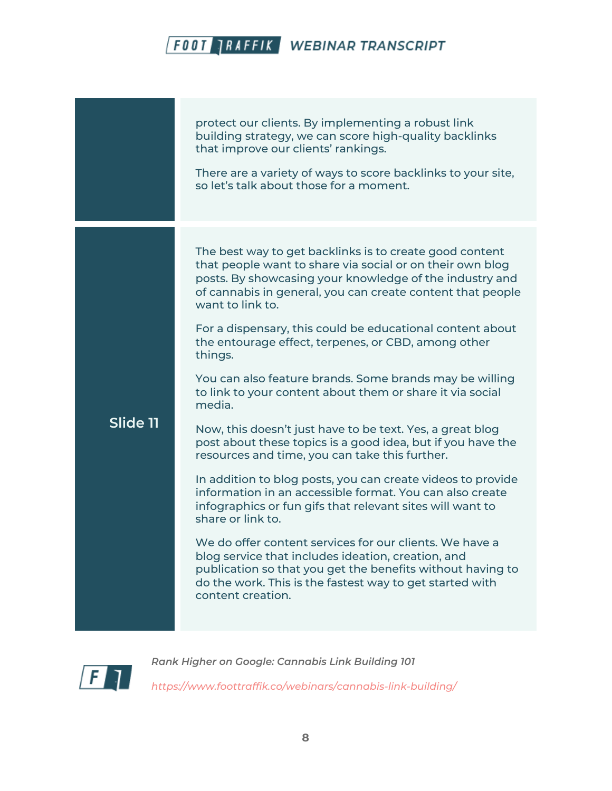|          | protect our clients. By implementing a robust link<br>building strategy, we can score high-quality backlinks<br>that improve our clients' rankings.<br>There are a variety of ways to score backlinks to your site,<br>so let's talk about those for a moment.                                                                                                                                                                                                                                                                                                                                                                                                                                                                                                                                                                                                                                                                                                                                                                                                                                                                                                                                |
|----------|-----------------------------------------------------------------------------------------------------------------------------------------------------------------------------------------------------------------------------------------------------------------------------------------------------------------------------------------------------------------------------------------------------------------------------------------------------------------------------------------------------------------------------------------------------------------------------------------------------------------------------------------------------------------------------------------------------------------------------------------------------------------------------------------------------------------------------------------------------------------------------------------------------------------------------------------------------------------------------------------------------------------------------------------------------------------------------------------------------------------------------------------------------------------------------------------------|
| Slide 11 | The best way to get backlinks is to create good content<br>that people want to share via social or on their own blog<br>posts. By showcasing your knowledge of the industry and<br>of cannabis in general, you can create content that people<br>want to link to.<br>For a dispensary, this could be educational content about<br>the entourage effect, terpenes, or CBD, among other<br>things.<br>You can also feature brands. Some brands may be willing<br>to link to your content about them or share it via social<br>media.<br>Now, this doesn't just have to be text. Yes, a great blog<br>post about these topics is a good idea, but if you have the<br>resources and time, you can take this further.<br>In addition to blog posts, you can create videos to provide<br>information in an accessible format. You can also create<br>infographics or fun gifs that relevant sites will want to<br>share or link to.<br>We do offer content services for our clients. We have a<br>blog service that includes ideation, creation, and<br>publication so that you get the benefits without having to<br>do the work. This is the fastest way to get started with<br>content creation. |

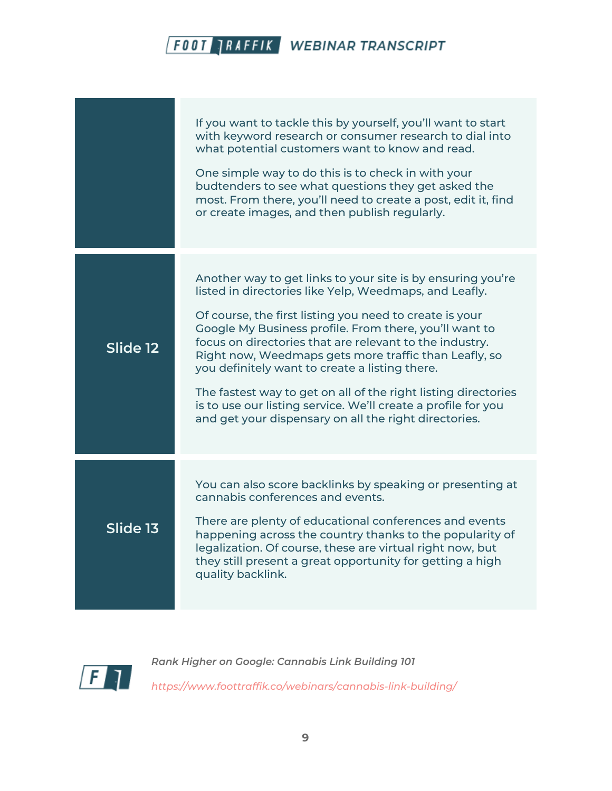|                          | If you want to tackle this by yourself, you'll want to start<br>with keyword research or consumer research to dial into<br>what potential customers want to know and read.<br>One simple way to do this is to check in with your<br>budtenders to see what questions they get asked the<br>most. From there, you'll need to create a post, edit it, find<br>or create images, and then publish regularly.                                                                                                                                                                                                    |
|--------------------------|--------------------------------------------------------------------------------------------------------------------------------------------------------------------------------------------------------------------------------------------------------------------------------------------------------------------------------------------------------------------------------------------------------------------------------------------------------------------------------------------------------------------------------------------------------------------------------------------------------------|
| Slide 12                 | Another way to get links to your site is by ensuring you're<br>listed in directories like Yelp, Weedmaps, and Leafly.<br>Of course, the first listing you need to create is your<br>Google My Business profile. From there, you'll want to<br>focus on directories that are relevant to the industry.<br>Right now, Weedmaps gets more traffic than Leafly, so<br>you definitely want to create a listing there.<br>The fastest way to get on all of the right listing directories<br>is to use our listing service. We'll create a profile for you<br>and get your dispensary on all the right directories. |
| $S$ lide $\overline{13}$ | You can also score backlinks by speaking or presenting at<br>cannabis conferences and events.<br>There are plenty of educational conferences and events<br>happening across the country thanks to the popularity of<br>legalization. Of course, these are virtual right now, but<br>they still present a great opportunity for getting a high<br>quality backlink.                                                                                                                                                                                                                                           |

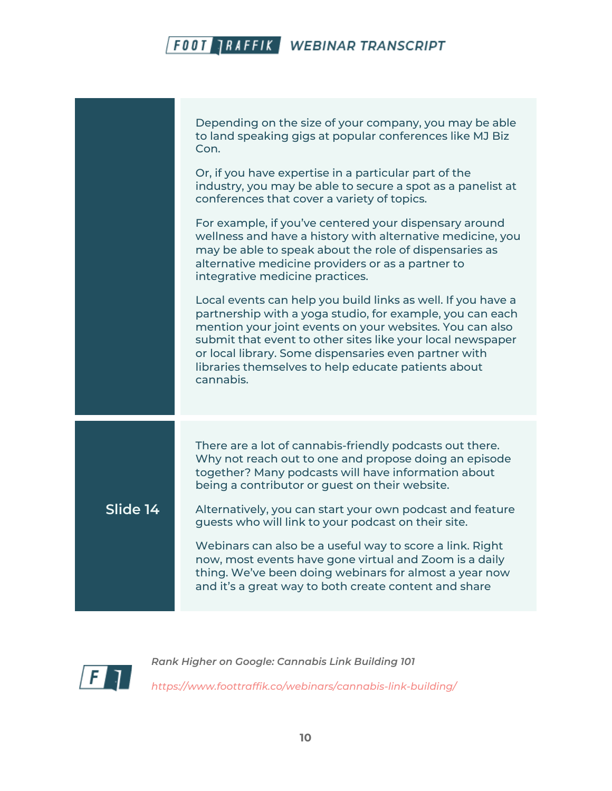|          | Depending on the size of your company, you may be able<br>to land speaking gigs at popular conferences like MJ Biz<br>Con.<br>Or, if you have expertise in a particular part of the<br>industry, you may be able to secure a spot as a panelist at<br>conferences that cover a variety of topics.<br>For example, if you've centered your dispensary around<br>wellness and have a history with alternative medicine, you<br>may be able to speak about the role of dispensaries as<br>alternative medicine providers or as a partner to<br>integrative medicine practices.<br>Local events can help you build links as well. If you have a<br>partnership with a yoga studio, for example, you can each<br>mention your joint events on your websites. You can also<br>submit that event to other sites like your local newspaper<br>or local library. Some dispensaries even partner with<br>libraries themselves to help educate patients about<br>cannabis. |
|----------|-----------------------------------------------------------------------------------------------------------------------------------------------------------------------------------------------------------------------------------------------------------------------------------------------------------------------------------------------------------------------------------------------------------------------------------------------------------------------------------------------------------------------------------------------------------------------------------------------------------------------------------------------------------------------------------------------------------------------------------------------------------------------------------------------------------------------------------------------------------------------------------------------------------------------------------------------------------------|
|          |                                                                                                                                                                                                                                                                                                                                                                                                                                                                                                                                                                                                                                                                                                                                                                                                                                                                                                                                                                 |
| Slide 14 | There are a lot of cannabis-friendly podcasts out there.<br>Why not reach out to one and propose doing an episode<br>together? Many podcasts will have information about<br>being a contributor or guest on their website.<br>Alternatively, you can start your own podcast and feature<br>guests who will link to your podcast on their site.<br>Webinars can also be a useful way to score a link. Right<br>now, most events have gone virtual and Zoom is a daily<br>thing. We've been doing webinars for almost a year now<br>and it's a great way to both create content and share                                                                                                                                                                                                                                                                                                                                                                         |

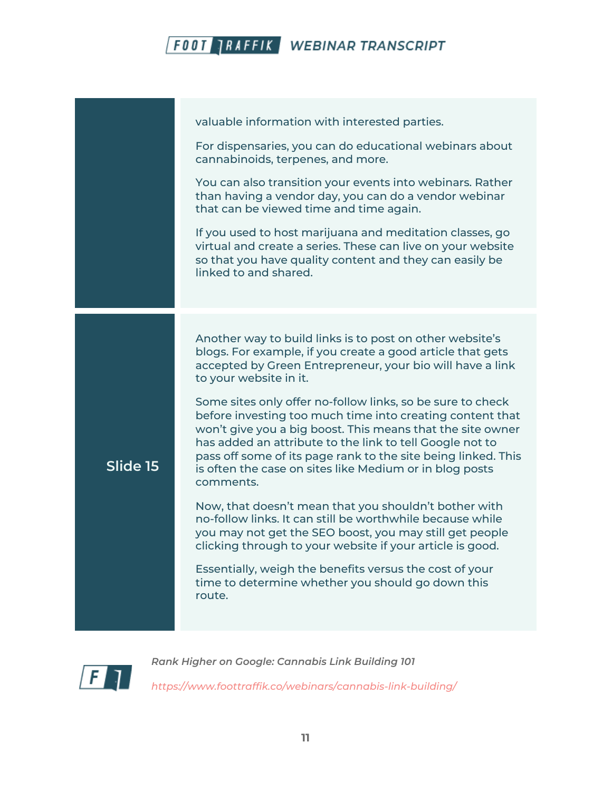|          | valuable information with interested parties.<br>For dispensaries, you can do educational webinars about<br>cannabinoids, terpenes, and more.                                                                                                                                                                                                                                              |
|----------|--------------------------------------------------------------------------------------------------------------------------------------------------------------------------------------------------------------------------------------------------------------------------------------------------------------------------------------------------------------------------------------------|
|          | You can also transition your events into webinars. Rather<br>than having a vendor day, you can do a vendor webinar<br>that can be viewed time and time again.                                                                                                                                                                                                                              |
|          | If you used to host marijuana and meditation classes, go<br>virtual and create a series. These can live on your website<br>so that you have quality content and they can easily be<br>linked to and shared.                                                                                                                                                                                |
|          | Another way to build links is to post on other website's<br>blogs. For example, if you create a good article that gets<br>accepted by Green Entrepreneur, your bio will have a link<br>to your website in it.                                                                                                                                                                              |
| Slide 15 | Some sites only offer no-follow links, so be sure to check<br>before investing too much time into creating content that<br>won't give you a big boost. This means that the site owner<br>has added an attribute to the link to tell Google not to<br>pass off some of its page rank to the site being linked. This<br>is often the case on sites like Medium or in blog posts<br>comments. |
|          | Now, that doesn't mean that you shouldn't bother with<br>no-follow links. It can still be worthwhile because while<br>you may not get the SEO boost, you may still get people<br>clicking through to your website if your article is good.                                                                                                                                                 |
|          | Essentially, weigh the benefits versus the cost of your<br>time to determine whether you should go down this<br>route.                                                                                                                                                                                                                                                                     |
|          |                                                                                                                                                                                                                                                                                                                                                                                            |

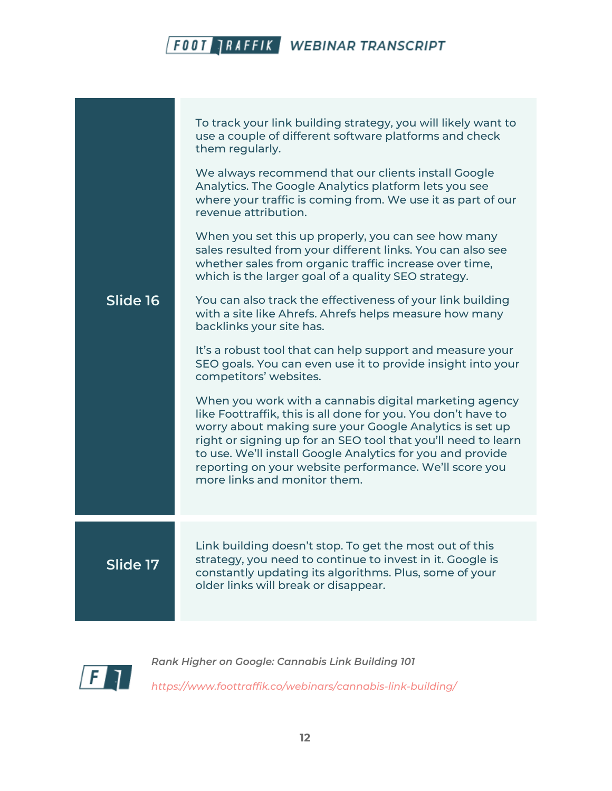| Slide 16 | To track your link building strategy, you will likely want to<br>use a couple of different software platforms and check<br>them regularly.<br>We always recommend that our clients install Google<br>Analytics. The Google Analytics platform lets you see<br>where your traffic is coming from. We use it as part of our<br>revenue attribution.<br>When you set this up properly, you can see how many<br>sales resulted from your different links. You can also see<br>whether sales from organic traffic increase over time,<br>which is the larger goal of a quality SEO strategy.<br>You can also track the effectiveness of your link building<br>with a site like Ahrefs. Ahrefs helps measure how many<br>backlinks your site has.<br>It's a robust tool that can help support and measure your<br>SEO goals. You can even use it to provide insight into your<br>competitors' websites.<br>When you work with a cannabis digital marketing agency<br>like Foottraffik, this is all done for you. You don't have to<br>worry about making sure your Google Analytics is set up<br>right or signing up for an SEO tool that you'll need to learn |
|----------|----------------------------------------------------------------------------------------------------------------------------------------------------------------------------------------------------------------------------------------------------------------------------------------------------------------------------------------------------------------------------------------------------------------------------------------------------------------------------------------------------------------------------------------------------------------------------------------------------------------------------------------------------------------------------------------------------------------------------------------------------------------------------------------------------------------------------------------------------------------------------------------------------------------------------------------------------------------------------------------------------------------------------------------------------------------------------------------------------------------------------------------------------------|
|          | to use. We'll install Google Analytics for you and provide<br>reporting on your website performance. We'll score you<br>more links and monitor them.                                                                                                                                                                                                                                                                                                                                                                                                                                                                                                                                                                                                                                                                                                                                                                                                                                                                                                                                                                                                     |
| Slide 17 | Link building doesn't stop. To get the most out of this<br>strategy, you need to continue to invest in it. Google is<br>constantly updating its algorithms. Plus, some of your<br>older links will break or disappear.                                                                                                                                                                                                                                                                                                                                                                                                                                                                                                                                                                                                                                                                                                                                                                                                                                                                                                                                   |

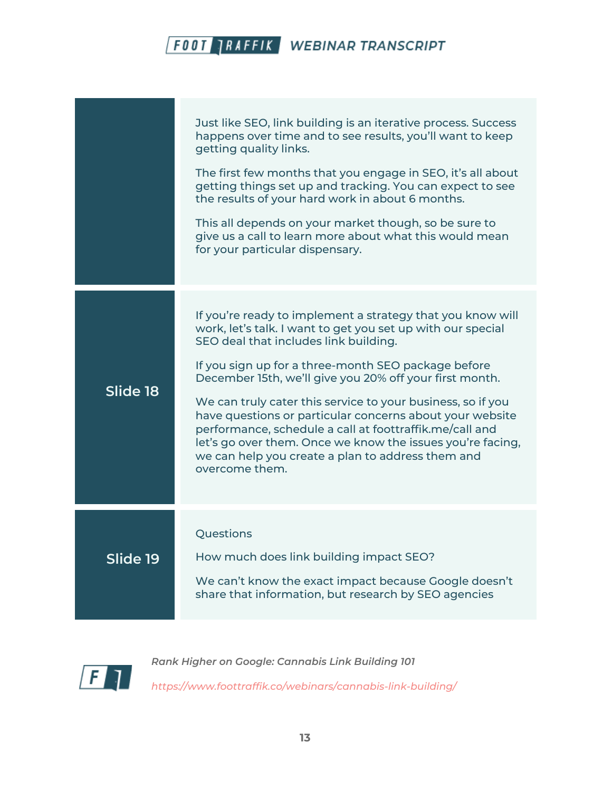|          | Just like SEO, link building is an iterative process. Success<br>happens over time and to see results, you'll want to keep<br>getting quality links.<br>The first few months that you engage in SEO, it's all about<br>getting things set up and tracking. You can expect to see<br>the results of your hard work in about 6 months.<br>This all depends on your market though, so be sure to<br>give us a call to learn more about what this would mean<br>for your particular dispensary.                                                                                                                     |
|----------|-----------------------------------------------------------------------------------------------------------------------------------------------------------------------------------------------------------------------------------------------------------------------------------------------------------------------------------------------------------------------------------------------------------------------------------------------------------------------------------------------------------------------------------------------------------------------------------------------------------------|
| Slide 18 | If you're ready to implement a strategy that you know will<br>work, let's talk. I want to get you set up with our special<br>SEO deal that includes link building.<br>If you sign up for a three-month SEO package before<br>December 15th, we'll give you 20% off your first month.<br>We can truly cater this service to your business, so if you<br>have questions or particular concerns about your website<br>performance, schedule a call at foottraffik.me/call and<br>let's go over them. Once we know the issues you're facing,<br>we can help you create a plan to address them and<br>overcome them. |
| Slide 19 | Questions<br>How much does link building impact SEO?<br>We can't know the exact impact because Google doesn't<br>share that information, but research by SEO agencies                                                                                                                                                                                                                                                                                                                                                                                                                                           |